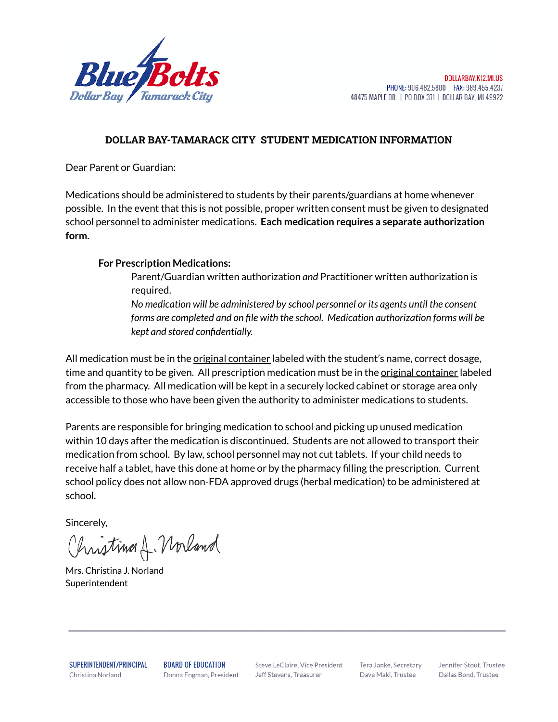

## **DOLLAR BAY-TAMARACK CITY STUDENT MEDICATION INFORMATION**

Dear Parent or Guardian:

Medications should be administered to students by their parents/guardians at home whenever possible. In the event that this is not possible, proper written consent must be given to designated school personnel to administer medications. **Each medication requires a separate authorization form.**

## **For Prescription Medications:**

Parent/Guardian written authorization *and* Practitioner written authorization is required.

*No medication will be administered by school personnel or its agents until the consent forms are completed and on file with the school. Medication authorization forms will be kept and stored confidentially.*

All medication must be in the *original container* labeled with the student's name, correct dosage, time and quantity to be given. All prescription medication must be in the <u>original container</u> labeled from the pharmacy. All medication will be kept in a securely locked cabinet or storage area only accessible to those who have been given the authority to administer medications to students.

Parents are responsible for bringing medication to school and picking up unused medication within 10 days after the medication is discontinued. Students are not allowed to transport their medication from school. By law, school personnel may not cut tablets. If your child needs to receive half a tablet, have this done at home or by the pharmacy filling the prescription. Current school policy does not allow non-FDA approved drugs (herbal medication) to be administered at school.

Sincerely,

Christine A. Norland

Mrs. Christina J. Norland Superintendent

SUPERINTENDENT/PRINCIPAL Christina Norland

**BOARD OF EDUCATION** Donna Engman, President

Steve LeClaire, Vice President Jeff Stevens, Treasurer

Tera Janke, Secretary Dave Maki, Trustee

Jennifer Stout, Trustee Dallas Bond, Trustee